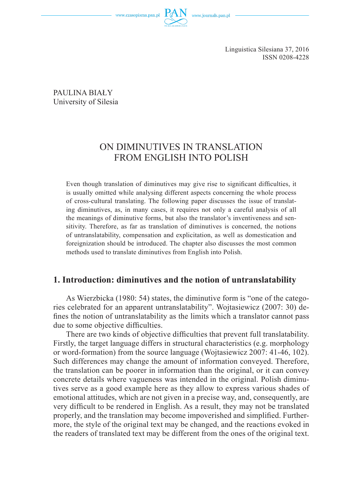www.czasopisma.pan.pl



Linguistica Silesiana 37, 2016 ISSN 0208-4228

PAULINA BIAŁY University of Silesia

# ON DIMINUTIVES IN TRANSLATION FROM ENGLISH INTO POLISH

Even though translation of diminutives may give rise to significant difficulties, it is usually omitted while analysing different aspects concerning the whole process of cross-cultural translating. The following paper discusses the issue of translating diminutives, as, in many cases, it requires not only a careful analysis of all the meanings of diminutive forms, but also the translator's inventiveness and sensitivity. Therefore, as far as translation of diminutives is concerned, the notions of untranslatability, compensation and explicitation, as well as domestication and foreignization should be introduced. The chapter also discusses the most common methods used to translate diminutives from English into Polish.

### **1. Introduction: diminutives and the notion of untranslatability**

As Wierzbicka (1980: 54) states, the diminutive form is "one of the categories celebrated for an apparent untranslatability". Wojtasiewicz (2007: 30) defines the notion of untranslatability as the limits which a translator cannot pass due to some objective difficulties.

There are two kinds of objective difficulties that prevent full translatability. Firstly, the target language differs in structural characteristics (e.g. morphology or word-formation) from the source language (Wojtasiewicz 2007: 41-46, 102). Such differences may change the amount of information conveyed. Therefore, the translation can be poorer in information than the original, or it can convey concrete details where vagueness was intended in the original. Polish diminutives serve as a good example here as they allow to express various shades of emotional attitudes, which are not given in a precise way, and, consequently, are very difficult to be rendered in English. As a result, they may not be translated properly, and the translation may become impoverished and simplified. Furthermore, the style of the original text may be changed, and the reactions evoked in the readers of translated text may be different from the ones of the original text.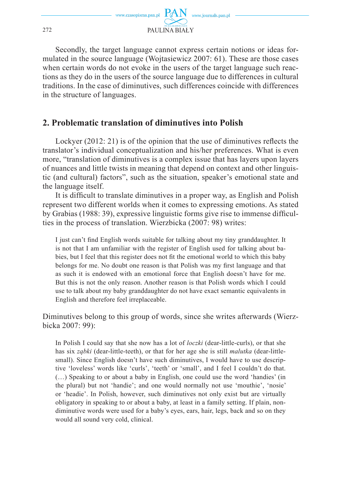

Secondly, the target language cannot express certain notions or ideas formulated in the source language (Wojtasiewicz 2007: 61). These are those cases when certain words do not evoke in the users of the target language such reactions as they do in the users of the source language due to differences in cultural traditions. In the case of diminutives, such differences coincide with differences in the structure of languages.

## **2. Problematic translation of diminutives into Polish**

Lockyer  $(2012: 21)$  is of the opinion that the use of diminutives reflects the translator's individual conceptualization and his/her preferences. What is even more, "translation of diminutives is a complex issue that has layers upon layers of nuances and little twists in meaning that depend on context and other linguistic (and cultural) factors", such as the situation, speaker's emotional state and the language itself.

It is difficult to translate diminutives in a proper way, as English and Polish represent two different worlds when it comes to expressing emotions. As stated by Grabias (1988: 39), expressive linguistic forms give rise to immense difficulties in the process of translation. Wierzbicka (2007: 98) writes:

I just can't find English words suitable for talking about my tiny granddaughter. It is not that I am unfamiliar with the register of English used for talking about babies, but I feel that this register does not fit the emotional world to which this baby belongs for me. No doubt one reason is that Polish was my first language and that as such it is endowed with an emotional force that English doesn't have for me. But this is not the only reason. Another reason is that Polish words which I could use to talk about my baby granddaughter do not have exact semantic equivalents in English and therefore feel irreplaceable.

Diminutives belong to this group of words, since she writes afterwards (Wierzbicka 2007: 99):

In Polish I could say that she now has a lot of *loczki* (dear-little-curls), or that she has six *ząbki* (dear-little-teeth), or that for her age she is still *malutka* (dear-littlesmall). Since English doesn't have such diminutives, I would have to use descriptive 'loveless' words like 'curls', 'teeth' or 'small', and I feel I couldn't do that. (…) Speaking to or about a baby in English, one could use the word 'handies' (in the plural) but not 'handie'; and one would normally not use 'mouthie', 'nosie' or 'headie'. In Polish, however, such diminutives not only exist but are virtually obligatory in speaking to or about a baby, at least in a family setting. If plain, nondiminutive words were used for a baby's eyes, ears, hair, legs, back and so on they would all sound very cold, clinical.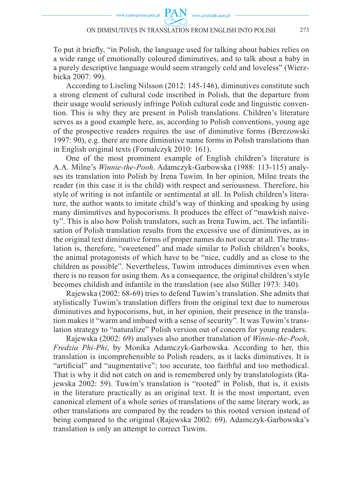www.journals.pan.pl

To put it briefly, "in Polish, the language used for talking about babies relies on a wide range of emotionally coloured diminutives, and to talk about a baby in a purely descriptive language would seem strangely cold and loveless" (Wierzbicka 2007: 99).

According to Liseling Nilsson (2012: 145-146), diminutives constitute such a strong element of cultural code inscribed in Polish, that the departure from their usage would seriously infringe Polish cultural code and linguistic convention. This is why they are present in Polish translations. Children's literature serves as a good example here, as, according to Polish conventions, young age of the prospective readers requires the use of diminutive forms (Berezowski 1997: 90), e.g. there are more diminutive name forms in Polish translations than in English original texts (Fornalczyk 2010: 161).

One of the most prominent example of English children's literature is A.A. Milne's *Winnie-the-Pooh*. Adamczyk-Garbowska (1988: 113-115) analyses its translation into Polish by Irena Tuwim. In her opinion, Milne treats the reader (in this case it is the child) with respect and seriousness. Therefore, his style of writing is not infantile or sentimental at all. In Polish children's literature, the author wants to imitate child's way of thinking and speaking by using many diminutives and hypocorisms. It produces the effect of "mawkish naivety". This is also how Polish translators, such as Irena Tuwim, act. The infantilisation of Polish translation results from the excessive use of diminutives, as in the original text diminutive forms of proper names do not occur at all. The translation is, therefore, "sweetened" and made similar to Polish children's books, the animal protagonists of which have to be "nice, cuddly and as close to the children as possible". Nevertheless, Tuwim introduces diminutives even when there is no reason for using them. As a consequence, the original children's style becomes childish and infantile in the translation (see also Stiller 1973: 340).

Rajewska (2002: 68-69) tries to defend Tuwim's translation. She admits that stylistically Tuwim's translation differs from the original text due to numerous diminutives and hypocorisms, but, in her opinion, their presence in the translation makes it "warm and imbued with a sense of security". It was Tuwim's translation strategy to "naturalize" Polish version out of concern for young readers.

Rajewska (2002: 69) analyses also another translation of *Winnie-the-Pooh*, *Fredzia Phi-Phi*, by Monika Adamczyk-Garbowska. According to her, this translation is incomprehensible to Polish readers, as it lacks diminutives. It is "artificial" and "augmentative"; too accurate, too faithful and too methodical. That is why it did not catch on and is remembered only by translatologists (Rajewska 2002: 59). Tuwim's translation is "rooted" in Polish, that is, it exists in the literature practically as an original text. It is the most important, even canonical element of a whole series of translations of the same literary work, as other translations are compared by the readers to this rooted version instead of being compared to the original (Rajewska 2002: 69). Adamczyk-Garbowska's translation is only an attempt to correct Tuwim.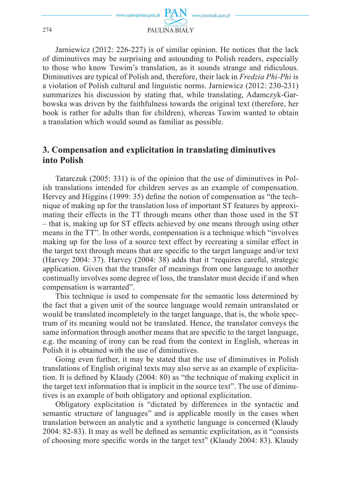

Jarniewicz (2012: 226-227) is of similar opinion. He notices that the lack of diminutives may be surprising and astounding to Polish readers, especially to those who know Tuwim's translation, as it sounds strange and ridiculous. Diminutives are typical of Polish and, therefore, their lack in *Fredzia Phi-Phi* is a violation of Polish cultural and linguistic norms. Jarniewicz (2012: 230-231) summarizes his discussion by stating that, while translating, Adamczyk-Garbowska was driven by the faithfulness towards the original text (therefore, her book is rather for adults than for children), whereas Tuwim wanted to obtain a translation which would sound as familiar as possible.

## **3. Compensation and explicitation in translating diminutives into Polish**

Tatarczuk (2005: 331) is of the opinion that the use of diminutives in Polish translations intended for children serves as an example of compensation. Hervey and Higgins (1999: 35) define the notion of compensation as "the technique of making up for the translation loss of important ST features by approximating their effects in the TT through means other than those used in the ST – that is, making up for ST effects achieved by one means through using other means in the TT". In other words, compensation is a technique which "involves making up for the loss of a source text effect by recreating a similar effect in the target text through means that are specific to the target language and/or text (Harvey 2004: 37). Harvey (2004: 38) adds that it "requires careful, strategic application. Given that the transfer of meanings from one language to another continually involves some degree of loss, the translator must decide if and when compensation is warranted".

This technique is used to compensate for the semantic loss determined by the fact that a given unit of the source language would remain untranslated or would be translated incompletely in the target language, that is, the whole spectrum of its meaning would not be translated. Hence, the translator conveys the same information through another means that are specific to the target language, e.g. the meaning of irony can be read from the context in English, whereas in Polish it is obtained with the use of diminutives.

Going even further, it may be stated that the use of diminutives in Polish translations of English original texts may also serve as an example of explicitation. It is defined by Klaudy (2004: 80) as "the technique of making explicit in the target text information that is implicit in the source text". The use of diminutives is an example of both obligatory and optional explicitation.

Obligatory explicitation is "dictated by differences in the syntactic and semantic structure of languages" and is applicable mostly in the cases when translation between an analytic and a synthetic language is concerned (Klaudy 2004: 82-83). It may as well be defined as semantic explicitation, as it "consists" of choosing more specific words in the target text" (Klaudy 2004: 83). Klaudy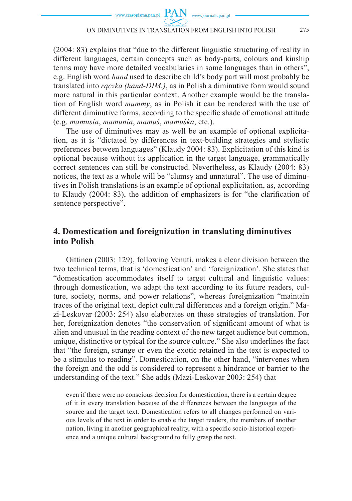(2004: 83) explains that "due to the different linguistic structuring of reality in different languages, certain concepts such as body-parts, colours and kinship terms may have more detailed vocabularies in some languages than in others", e.g. English word *hand* used to describe child's body part will most probably be translated into *rączka (hand-DIM.)*, as in Polish a diminutive form would sound more natural in this particular context. Another example would be the translation of English word *mummy*, as in Polish it can be rendered with the use of different diminutive forms, according to the specific shade of emotional attitude (e.g. *mamusia*, *mamunia*, *mamuś*, *mamuśka*, etc.).

The use of diminutives may as well be an example of optional explicitation, as it is "dictated by differences in text-building strategies and stylistic preferences between languages" (Klaudy 2004: 83). Explicitation of this kind is optional because without its application in the target language, grammatically correct sentences can still be constructed. Nevertheless, as Klaudy (2004: 83) notices, the text as a whole will be "clumsy and unnatural". The use of diminutives in Polish translations is an example of optional explicitation, as, according to Klaudy (2004: 83), the addition of emphasizers is for "the clarification of sentence perspective".

### **4. Domestication and foreignization in translating diminutives into Polish**

Oittinen (2003: 129), following Venuti, makes a clear division between the two technical terms, that is 'domestication' and 'foreignization'. She states that "domestication accommodates itself to target cultural and linguistic values: through domestication, we adapt the text according to its future readers, culture, society, norms, and power relations", whereas foreignization "maintain traces of the original text, depict cultural differences and a foreign origin." Mazi-Leskovar (2003: 254) also elaborates on these strategies of translation. For her, foreignization denotes "the conservation of significant amount of what is alien and unusual in the reading context of the new target audience but common, unique, distinctive or typical for the source culture." She also underlines the fact that "the foreign, strange or even the exotic retained in the text is expected to be a stimulus to reading". Domestication, on the other hand, "intervenes when the foreign and the odd is considered to represent a hindrance or barrier to the understanding of the text." She adds (Mazi-Leskovar 2003: 254) that

even if there were no conscious decision for domestication, there is a certain degree of it in every translation because of the differences between the languages of the source and the target text. Domestication refers to all changes performed on various levels of the text in order to enable the target readers, the members of another nation, living in another geographical reality, with a specific socio-historical experience and a unique cultural background to fully grasp the text.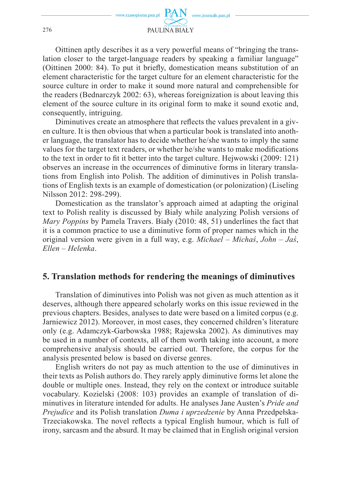

Oittinen aptly describes it as a very powerful means of "bringing the translation closer to the target-language readers by speaking a familiar language" (Oittinen 2000: 84). To put it briefly, domestication means substitution of an element characteristic for the target culture for an element characteristic for the source culture in order to make it sound more natural and comprehensible for the readers (Bednarczyk 2002: 63), whereas foreignization is about leaving this element of the source culture in its original form to make it sound exotic and, consequently, intriguing.

Diminutives create an atmosphere that reflects the values prevalent in a given culture. It is then obvious that when a particular book is translated into another language, the translator has to decide whether he/she wants to imply the same values for the target text readers, or whether he/she wants to make modifications to the text in order to fi t it better into the target culture. Hejwowski (2009: 121) observes an increase in the occurrences of diminutive forms in literary translations from English into Polish. The addition of diminutives in Polish translations of English texts is an example of domestication (or polonization) (Liseling Nilsson 2012: 298-299).

Domestication as the translator's approach aimed at adapting the original text to Polish reality is discussed by Biały while analyzing Polish versions of *Mary Poppins* by Pamela Travers. Biały (2010: 48, 51) underlines the fact that it is a common practice to use a diminutive form of proper names which in the original version were given in a full way, e.g. *Michael* – *Michaś*, *John* – *Jaś*, *Ellen* – *Helenka*.

#### **5. Translation methods for rendering the meanings of diminutives**

Translation of diminutives into Polish was not given as much attention as it deserves, although there appeared scholarly works on this issue reviewed in the previous chapters. Besides, analyses to date were based on a limited corpus (e.g. Jarniewicz 2012). Moreover, in most cases, they concerned children's literature only (e.g. Adamczyk-Garbowska 1988; Rajewska 2002). As diminutives may be used in a number of contexts, all of them worth taking into account, a more comprehensive analysis should be carried out. Therefore, the corpus for the analysis presented below is based on diverse genres.

English writers do not pay as much attention to the use of diminutives in their texts as Polish authors do. They rarely apply diminutive forms let alone the double or multiple ones. Instead, they rely on the context or introduce suitable vocabulary. Kozielski (2008: 103) provides an example of translation of diminutives in literature intended for adults. He analyses Jane Austen's *Pride and Prejudice* and its Polish translation *Duma i uprzedzenie* by Anna Przedpełska-Trzeciakowska. The novel reflects a typical English humour, which is full of irony, sarcasm and the absurd. It may be claimed that in English original version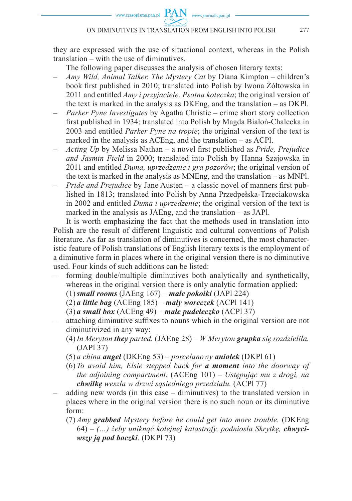www.journals.pan.pl

they are expressed with the use of situational context, whereas in the Polish translation – with the use of diminutives.

The following paper discusses the analysis of chosen literary texts:

- *Amy Wild, Animal Talker. The Mystery Cat* by Diana Kimpton children's book first published in 2010; translated into Polish by Iwona Żółtowska in 2011 and entitled *Amy i przyjaciele. Psotna koteczka*; the original version of the text is marked in the analysis as DKEng, and the translation – as DKPl.
- *Parker Pyne Investigates* by Agatha Christie crime short story collection first published in 1934; translated into Polish by Magda Białoń-Chalecka in 2003 and entitled *Parker Pyne na tropie*; the original version of the text is marked in the analysis as ACEng, and the translation – as ACPl.
- *Acting Up* by Melissa Nathan a novel first published as *Pride, Prejudice and Jasmin Field* in 2000; translated into Polish by Hanna Szajowska in 2011 and entitled *Duma, uprzedzenie i gra pozorów*; the original version of the text is marked in the analysis as MNEng, and the translation – as MNPl.
- *Pride and Prejudice* by Jane Austen a classic novel of manners first published in 1813; translated into Polish by Anna Przedpełska-Trzeciakowska in 2002 and entitled *Duma i uprzedzenie*; the original version of the text is marked in the analysis as JAEng, and the translation – as JAPl.

It is worth emphasizing the fact that the methods used in translation into Polish are the result of different linguistic and cultural conventions of Polish literature. As far as translation of diminutives is concerned, the most characteristic feature of Polish translations of English literary texts is the employment of a diminutive form in places where in the original version there is no diminutive used. Four kinds of such additions can be listed:

- forming double/multiple diminutives both analytically and synthetically, whereas in the original version there is only analytic formation applied:
	- (1) *small rooms* (JAEng 167)  *małe pokoiki* (JAPl 224)
	- (2) *a little bag* (ACEng 185) *mały woreczek* (ACPl 141)
	- (3) *a small box* (ACEng 49) *małe pudełeczko* (ACPl 37)
- attaching diminutive suffixes to nouns which in the original version are not diminutivized in any way:
	- (4) *In Meryton they parted.* (JAEng 28) *W Meryton grupka się rozdzieliła.* (JAPl 37)
	- (5) *a china angel* (DKEng 53) *porcelanowy aniołek* (DKPl 61)
	- (6) *To avoid him, Elsie stepped back for a moment into the doorway of the adjoining compartment.* (ACEng 101) – *Ustępując mu z drogi, na chwilkę weszła w drzwi sąsiedniego przedziału.* (ACPl 77)
- adding new words (in this case diminutives) to the translated version in places where in the original version there is no such noun or its diminutive form:
	- (7) *Amy grabbed Mystery before he could get into more trouble.* (DKEng 64) *– (…) żeby uniknąć kolejnej katastrofy, podniosła Skrytkę, chwyciwszy ją pod boczki*. (DKPl 73)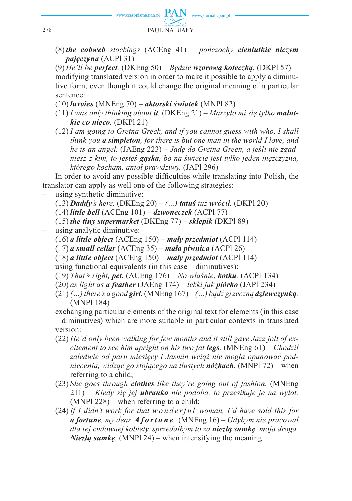

- (8) *the cobweb stockings* (ACEng 41) *pończochy cieniutkie niczym pajęczyna* (ACPl 31)
- (9) *He'll be perfect.* (DKEng 50) *Będzie wzorową koteczką.* (DKPl 57)
- modifying translated version in order to make it possible to apply a diminutive form, even though it could change the original meaning of a particular sentence:
	- (10) *luvvies* (MNEng 70) *aktorski światek* (MNPl 82)
	- (11) *I was only thinking about it.* (DKEng 21) *Marzyło mi się tylko malutkie co nieco.* (DKPl 21)
	- (12) *I am going to Gretna Greek, and if you cannot guess with who, I shall think you a simpleton, for there is but one man in the world I love, and he is an angel.* (JAEng 223) – *Jadę do Gretna Green, a jeśli nie zgadniesz z kim, to jesteś gąska, bo na świecie jest tylko jeden mężczyzna, którego kocham, anioł prawdziwy.* (JAPl 296)

In order to avoid any possible difficulties while translating into Polish, the translator can apply as well one of the following strategies:

- using synthetic diminutive:
	- (13) *Daddy's here.* (DKEng 20) *(…) tatuś już wrócił.* (DKPl 20)
	- (14) *little bell* (ACEng 101) *dzwoneczek* (ACPl 77)
	- (15) *the tiny supermarket* (DKEng 77) *sklepik* (DKPl 89)
- using analytic diminutive:
	- (16) *a little object* (ACEng 150)  *mały przedmiot* (ACPl 114)
	- (17) *a small cellar* (ACEng 35) *mała piwnica* (ACPl 26)
	- (18) *a little object* (ACEng 150) *mały przedmiot* (ACPl 114)
- using functional equivalents (in this case  $-$  diminutives): (19) *That's right, pet.* (ACEng 176) – *No właśnie, kotku.* (ACPl 134)
	-
	- (20) *as light as a feather* (JAEng 174) *lekki jak piórko* (JAPl 234)
	- $(21)$   $($ ...) there's a good **girl**. (MNEng  $167$ )  $($ ...) badz grzeczna **dziewczynka**. (MNPl 184)
- exchanging particular elements of the original text for elements (in this case – diminutives) which are more suitable in particular contexts in translated version:
	- (22) *He'd only been walking for few months and it still gave Jazz jolt of excitement to see him upright on his two fat legs.* (MNEng 61) – *Chodził zaledwie od paru miesięcy i Jasmin wciąż nie mogła opanować podniecenia, widząc go stojącego na tłustych nóżkach.* (MNPl 72) – when referring to a child;
	- (23) *She goes through clothes like they're going out of fashion.* (MNEng 211) – *Kiedy się jej ubranko nie podoba, to przesikuje je na wylot.*  (MNPl 228) – when referring to a child;
	- (24) *If I didn't work for that wonderful woman, I'd have sold this for a fortune, my dear. A f o r t u n e .* (MNEng 16) – *Gdybym nie pracował dla tej cudownej kobiety, sprzedałbym to za niezłą sumkę, moja droga. Niezłą sumkę.* (MNPl 24) – when intensifying the meaning.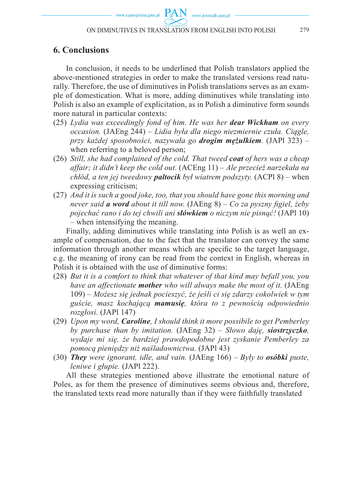www.journals.pan.pl

## **6. Conclusions**

In conclusion, it needs to be underlined that Polish translators applied the above-mentioned strategies in order to make the translated versions read naturally. Therefore, the use of diminutives in Polish translations serves as an example of domestication. What is more, adding diminutives while translating into Polish is also an example of explicitation, as in Polish a diminutive form sounds more natural in particular contexts:

- (25) *Lydia was exceedingly fond of him. He was her dear Wickham on every occasion.* (JAEng 244) – *Lidia była dla niego niezmiernie czuła. Ciągle, przy każdej sposobności, nazywała go drogim mężulkiem.* (JAPl 323) – when referring to a beloved person;
- (26) *Still, she had complained of the cold. That tweed coat of hers was a cheap affair; it didn't keep the cold out.* (ACEng 11) – *Ale przecież narzekała na chłód, a ten jej tweedowy paltocik był wiatrem podszyty.* (ACPl 8) – when expressing criticism;
- (27) *And it is such a good joke, too, that you should have gone this morning and never said a word about it till now.* (JAEng 8) – *Co za pyszny figiel, żeby pojechać rano i do tej chwili ani słówkiem o niczym nie pisnąć!* (JAPl 10) – when intensifying the meaning.

Finally, adding diminutives while translating into Polish is as well an example of compensation, due to the fact that the translator can convey the same information through another means which are specific to the target language, e.g. the meaning of irony can be read from the context in English, whereas in Polish it is obtained with the use of diminutive forms:

- (28) *But it is a comfort to think that whatever of that kind may befall you, you have an affectionate mother who will always make the most of it.* (JAEng 109) – *Możesz się jednak pocieszyć, że jeśli ci się zdarzy cokolwiek w tym guście, masz kochającą mamusię, która to z pewnością odpowiednio rozgłosi.* (JAPl 147)
- (29) *Upon my word, Caroline, I should think it more possibile to get Pemberley by purchase than by imitation.* (JAEng 32) – *Słowo daję, siostrzyczko, wydaje mi się, że bardziej prawdopodobne jest zyskanie Pemberley za pomocą pieniędzy niż naśladownictwa.* (JAPl 43)
- (30) *They were ignorant, idle, and vain.* (JAEng 166) *Były to osóbki puste, leniwe i głupie.* (JAPl 222).

All these strategies mentioned above illustrate the emotional nature of Poles, as for them the presence of diminutives seems obvious and, therefore, the translated texts read more naturally than if they were faithfully translated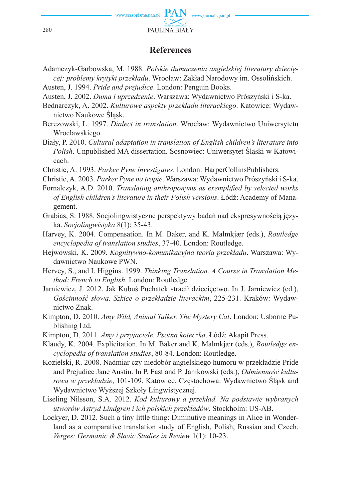

### **References**

- Adamczyk-Garbowska, M. 1988. *Polskie tłumaczenia angielskiej literatury dziecięcej: problemy krytyki przekładu*. Wrocław: Zakład Narodowy im. Ossolińskich.
- Austen, J. 1994. *Pride and prejudice*. London: Penguin Books.
- Austen, J. 2002. *Duma i uprzedzenie*. Warszawa: Wydawnictwo Prószyński i S-ka.
- Bednarczyk, A. 2002. *Kulturowe aspekty przekładu literackiego*. Katowice: Wydawnictwo Naukowe Śląsk.
- Berezowski, L. 1997. *Dialect in translation*. Wrocław: Wydawnictwo Uniwersytetu Wrocławskiego.
- Biały, P. 2010. *Cultural adaptation in translation of English children's literature into Polish*. Unpublished MA dissertation. Sosnowiec: Uniwersytet Śląski w Katowicach.
- Christie, A. 1993. *Parker Pyne investigates*. London: HarperCollinsPublishers.
- Christie, A. 2003. *Parker Pyne na tropie*. Warszawa: Wydawnictwo Prószyński i S-ka.
- Fornalczyk, A.D. 2010. *Translating anthroponyms as exemplified by selected works of English children's literature in their Polish versions*. Łódź: Academy of Management.
- Grabias, S. 1988. Socjolingwistyczne perspektywy badań nad ekspresywnością języka. *Socjolingwistyka* 8(1): 35-43.
- Harvey, K. 2004. Compensation. In M. Baker, and K. Malmkjær (eds.), *Routledge encyclopedia of translation studies*, 37-40. London: Routledge.
- Hejwowski, K. 2009. *Kognitywno-komunikacyjna teoria przekładu*. Warszawa: Wydawnictwo Naukowe PWN.
- Hervey, S., and I. Higgins. 1999. *Thinking Translation. A Course in Translation Method: French to English*. London: Routledge.
- Jarniewicz, J. 2012. Jak Kubuś Puchatek stracił dziecięctwo. In J. Jarniewicz (ed.), *Gościnność słowa. Szkice o przekładzie literackim*, 225-231. Kraków: Wydawnictwo Znak.
- Kimpton, D. 2010. *Amy Wild, Animal Talker. The Mystery Cat*. London: Usborne Publishing Ltd.
- Kimpton, D. 2011. *Amy i przyjaciele. Psotna koteczka*. Łódź: Akapit Press.
- Klaudy, K. 2004. Explicitation. In M. Baker and K. Malmkjær (eds.), *Routledge encyclopedia of translation studies*, 80-84. London: Routledge.
- Kozielski, R. 2008. Nadmiar czy niedobór angielskiego humoru w przekładzie Pride and Prejudice Jane Austin. In P. Fast and P. Janikowski (eds.), *Odmienność kulturowa w przekładzie*, 101-109. Katowice, Częstochowa: Wydawnictwo Śląsk and Wydawnictwo Wyższej Szkoły Lingwistycznej.
- Liseling Nilsson, S.A. 2012. *Kod kulturowy a przekład. Na podstawie wybranych utworów Astryd Lindgren i ich polskich przekładów*. Stockholm: US-AB.
- Lockyer, D. 2012. Such a tiny little thing: Diminutive meanings in Alice in Wonderland as a comparative translation study of English, Polish, Russian and Czech. *Verges: Germanic & Slavic Studies in Review* 1(1): 10-23.